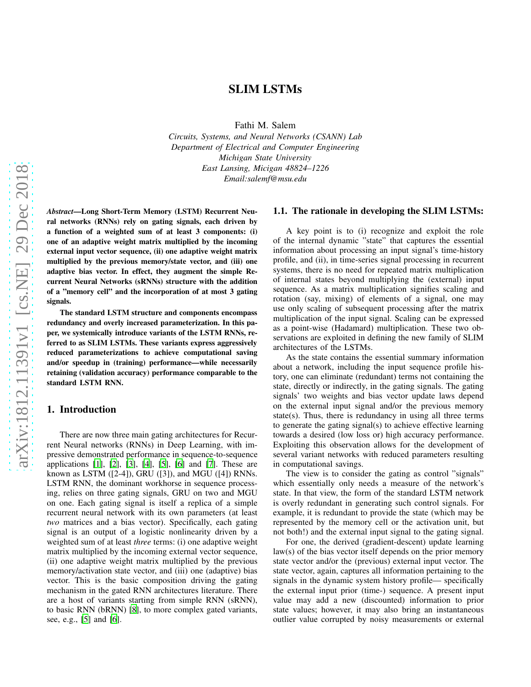# SLIM LSTMs

Fathi M. Salem

*Circuits, Systems, and Neural Networks (CSANN) Lab Department of Electrical and Computer Engineering Michigan State University East Lansing, Micigan 48824–1226 Email:salemf@msu.edu*

*Abstract*—Long Short-Term Memory (LSTM) Recurrent Neural networks (RNNs) rely on gating signals, each driven by a function of a weighted sum of at least 3 components: (i) one of an adaptive weight matrix multiplied by the incoming external input vector sequence, (ii) one adaptive weight matrix multiplied by the previous memory/state vector, and (iii) one adaptive bias vector. In effect, they augment the simple Recurrent Neural Networks (sRNNs) structure with the addition of a "memory cell" and the incorporation of at most 3 gating signals.

The standard LSTM structure and components encompass redundancy and overly increased parameterization. In this paper, we systemically introduce variants of the LSTM RNNs, referred to as SLIM LSTMs. These variants express aggressively reduced parameterizations to achieve computational saving and/or speedup in (training) performance—while necessarily retaining (validation accuracy) performance comparable to the standard LSTM RNN.

## 1. Introduction

There are now three main gating architectures for Recurrent Neural networks (RNNs) in Deep Learning, with impressive demonstrated performance in sequence-to-sequence applications [1], [\[2](#page-6-0)], [\[3](#page-6-1)], [\[4](#page-6-2)], [\[5](#page-6-3)], [\[6\]](#page-6-4) and [\[7\]](#page-6-5). These are known as LSTM  $([2-4])$ , GRU  $([3])$ , and MGU  $([4])$  RNNs. LSTM RNN, the dominant workhorse in sequence processing, relies on three gating signals, GRU on two and MGU on one. Each gating signal is itself a replica of a simple recurrent neural network with its own parameters (at least *two* matrices and a bias vector). Specifically, each gating signal is an output of a logistic nonlinearity driven by a weighted sum of at least *three* terms: (i) one adaptive weight matrix multiplied by the incoming external vector sequence, (ii) one adaptive weight matrix multiplied by the previous memory/activation state vector, and (iii) one (adaptive) bias vector. This is the basic composition driving the gating mechanism in the gated RNN architectures literature. There are a host of variants starting from simple RNN (sRNN), to basic RNN (bRNN) [\[8](#page-6-6)], to more complex gated variants, see, e.g., [\[5\]](#page-6-3) and [\[6\]](#page-6-4).

# 1.1. The rationale in developing the SLIM LSTMs:

A key point is to (i) recognize and exploit the role of the internal dynamic "state" that captures the essential information about processing an input signal's time-history profile, and (ii), in time-series signal processing in recurrent systems, there is no need for repeated matrix multiplication of internal states beyond multiplying the (external) input sequence. As a matrix multiplication signifies scaling and rotation (say, mixing) of elements of a signal, one may use only scaling of subsequent processing after the matrix multiplication of the input signal. Scaling can be expressed as a point-wise (Hadamard) multiplication. These two observations are exploited in defining the new family of SLIM architectures of the LSTMs.

As the state contains the essential summary information about a network, including the input sequence profile history, one can eliminate (redundant) terms not containing the state, directly or indirectly, in the gating signals. The gating signals' two weights and bias vector update laws depend on the external input signal and/or the previous memory state(s). Thus, there is redundancy in using all three terms to generate the gating signal(s) to achieve effective learning towards a desired (low loss or) high accuracy performance. Exploiting this observation allows for the development of several variant networks with reduced parameters resulting in computational savings.

The view is to consider the gating as control "signals" which essentially only needs a measure of the network's state. In that view, the form of the standard LSTM network is overly redundant in generating such control signals. For example, it is redundant to provide the state (which may be represented by the memory cell or the activation unit, but not both!) and the external input signal to the gating signal.

For one, the derived (gradient-descent) update learning law(s) of the bias vector itself depends on the prior memory state vector and/or the (previous) external input vector. The state vector, again, captures all information pertaining to the signals in the dynamic system history profile— specifically the external input prior (time-) sequence. A present input value may add a new (discounted) information to prior state values; however, it may also bring an instantaneous outlier value corrupted by noisy measurements or external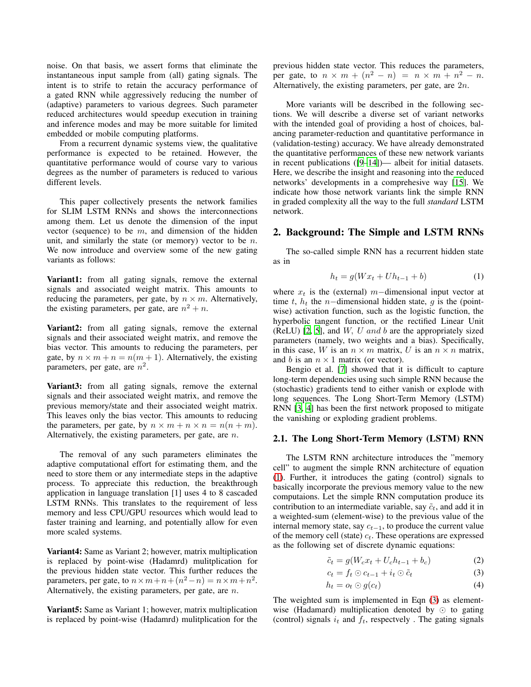noise. On that basis, we assert forms that eliminate the instantaneous input sample from (all) gating signals. The intent is to strife to retain the accuracy performance of a gated RNN while aggressively reducing the number of (adaptive) parameters to various degrees. Such parameter reduced architectures would speedup execution in training and inference modes and may be more suitable for limited embedded or mobile computing platforms.

From a recurrent dynamic systems view, the qualitative performance is expected to be retained. However, the quantitative performance would of course vary to various degrees as the number of parameters is reduced to various different levels.

This paper collectively presents the network families for SLIM LSTM RNNs and shows the interconnections among them. Let us denote the dimension of the input vector (sequence) to be  $m$ , and dimension of the hidden unit, and similarly the state (or memory) vector to be  $n$ . We now introduce and overview some of the new gating variants as follows:

Variant1: from all gating signals, remove the external signals and associated weight matrix. This amounts to reducing the parameters, per gate, by  $n \times m$ . Alternatively, the existing parameters, per gate, are  $n^2 + n$ .

Variant2: from all gating signals, remove the external signals and their associated weight matrix, and remove the bias vector. This amounts to reducing the parameters, per gate, by  $n \times m + n = n(m + 1)$ . Alternatively, the existing parameters, per gate, are  $n^2$ .

Variant3: from all gating signals, remove the external signals and their associated weight matrix, and remove the previous memory/state and their associated weight matrix. This leaves only the bias vector. This amounts to reducing the parameters, per gate, by  $n \times m + n \times n = n(n+m)$ . Alternatively, the existing parameters, per gate, are n.

The removal of any such parameters eliminates the adaptive computational effort for estimating them, and the need to store them or any intermediate steps in the adaptive process. To appreciate this reduction, the breakthrough application in language translation [1] uses 4 to 8 cascaded LSTM RNNs. This translates to the requirement of less memory and less CPU/GPU resources which would lead to faster training and learning, and potentially allow for even more scaled systems.

Variant4: Same as Variant 2; however, matrix multiplication is replaced by point-wise (Hadamrd) mulitplication for the previous hidden state vector. This further reduces the parameters, per gate, to  $n \times m + n + (n^2 - n) = n \times m + n^2$ . Alternatively, the existing parameters, per gate, are n.

Variant5: Same as Variant 1; however, matrix multiplication is replaced by point-wise (Hadamrd) mulitplication for the previous hidden state vector. This reduces the parameters, per gate, to  $n \times m + (n^2 - n) = n \times m + n^2 - n$ . Alternatively, the existing parameters, per gate, are 2n.

More variants will be described in the following sections. We will describe a diverse set of variant networks with the intended goal of providing a host of choices, balancing parameter-reduction and quantitative performance in (validation-testing) accuracy. We have already demonstrated the quantitative performances of these new network variants in recent publications ([\[9](#page-6-7)[–14\]](#page-6-8))— albeit for initial datasets. Here, we describe the insight and reasoning into the reduced networks' developments in a comprehesive way [\[15\]](#page-6-9). We indicate how those network variants link the simple RNN in graded complexity all the way to the full *standard* LSTM network.

## 2. Background: The Simple and LSTM RNNs

The so-called simple RNN has a recurrent hidden state as in

<span id="page-1-0"></span>
$$
h_t = g(Wx_t + Uh_{t-1} + b)
$$
 (1)

where  $x_t$  is the (external) m−dimensional input vector at time t,  $h_t$  the n−dimensional hidden state, q is the (pointwise) activation function, such as the logistic function, the hyperbolic tangent function, or the rectified Linear Unit (ReLU) [\[2,](#page-6-0) [5\]](#page-6-3), and  $W$ ,  $U$  and  $b$  are the appropriately sized parameters (namely, two weights and a bias). Specifically, in this case, W is an  $n \times m$  matrix, U is an  $n \times n$  matrix, and b is an  $n \times 1$  matrix (or vector).

Bengio et al. [\[7\]](#page-6-5) showed that it is difficult to capture long-term dependencies using such simple RNN because the (stochastic) gradients tend to either vanish or explode with long sequences. The Long Short-Term Memory (LSTM) RNN [\[3,](#page-6-1) [4\]](#page-6-2) has been the first network proposed to mitigate the vanishing or exploding gradient problems.

### 2.1. The Long Short-Term Memory (LSTM) RNN

The LSTM RNN architecture introduces the "memory cell" to augment the simple RNN architecture of equation [\(1\)](#page-1-0). Further, it introduces the gating (control) signals to basically incorporate the previous memory value to the new computaions. Let the simple RNN computation produce its contribution to an intermediate variable, say  $\tilde{c}_t$ , and add it in a weighted-sum (element-wise) to the previous value of the internal memory state, say  $c_{t-1}$ , to produce the current value of the memory cell (state)  $c_t$ . These operations are expressed as the following set of discrete dynamic equations:

<span id="page-1-2"></span><span id="page-1-1"></span>
$$
\tilde{c}_t = g(W_c x_t + U_c h_{t-1} + b_c) \tag{2}
$$

$$
c_t = f_t \odot c_{t-1} + i_t \odot \tilde{c}_t \tag{3}
$$

<span id="page-1-3"></span>
$$
h_t = o_t \odot g(c_t) \tag{4}
$$

The weighted sum is implemented in Eqn [\(3\)](#page-1-1) as elementwise (Hadamard) multiplication denoted by ⊙ to gating (control) signals  $i_t$  and  $f_t$ , respectvely. The gating signals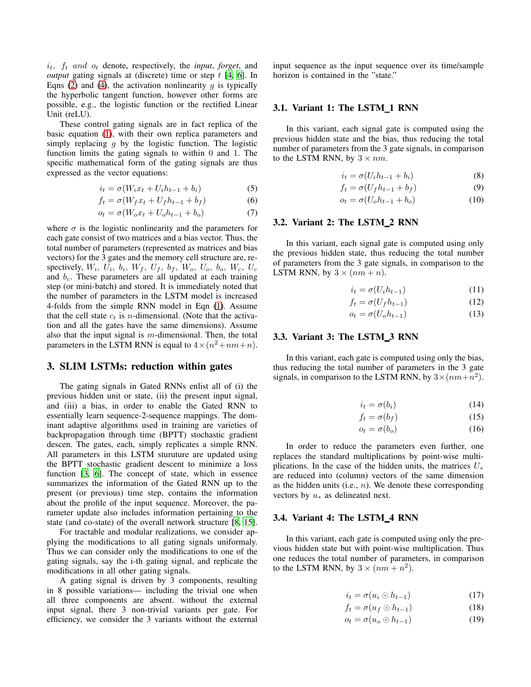$i_t$ ,  $f_t$  and  $o_t$  denote, respectively, the *input*, *forget*, and *output* gating signals at (discrete) time or step t [\[4](#page-6-2), [6\]](#page-6-4). In Eqns [\(2\)](#page-1-2) and [\(4\)](#page-1-3), the activation nonlinearity  $\overline{g}$  is typically the hyperbolic tangent function, however other forms are possible, e.g., the logistic function or the rectified Linear Unit (reLU).

These control gating signals are in fact replica of the basic equation [\(1\)](#page-1-0), with their own replica parameters and simply replacing  $q$  by the logistic function. The logistic function limits the gating signals to within 0 and 1. The specific mathematical form of the gating signals are thus expressed as the vector equations:

$$
i_t = \sigma(W_i x_t + U_i h_{t-1} + b_i)
$$
\n<sup>(5)</sup>

$$
f_t = \sigma(W_f x_t + U_f h_{t-1} + b_f)
$$
 (6)

$$
o_t = \sigma(W_o x_t + U_o h_{t-1} + b_o)
$$
\n<sup>(7)</sup>

where  $\sigma$  is the logistic nonlinearity and the parameters for each gate consist of two matrices and a bias vector. Thus, the total number of parameters (represented as matrices and bias vectors) for the 3 gates and the memory cell structure are, respectively,  $W_i$ ,  $U_i$ ,  $b_i$ ,  $W_f$ ,  $U_f$ ,  $b_f$ ,  $W_o$ ,  $U_o$ ,  $b_o$ ,  $W_c$ ,  $U_c$ and  $b<sub>c</sub>$ . These parameters are all updated at each training step (or mini-batch) and stored. It is immediately noted that the number of parameters in the LSTM model is increased 4-folds from the simple RNN model in Eqn [\(1\)](#page-1-0). Assume that the cell state  $c_t$  is *n*-dimensional. (Note that the activation and all the gates have the same dimensions). Assume also that the input signal is  $m$ -dimensional. Then, the total parameters in the LSTM RNN is equal to  $4 \times (n^2 + nm + n)$ .

## 3. SLIM LSTMs: reduction within gates

The gating signals in Gated RNNs enlist all of (i) the previous hidden unit or state, (ii) the present input signal, and (iii) a bias, in order to enable the Gated RNN to essentially learn sequence-2-sequence mappings. The dominant adaptive algorithms used in training are varieties of backpropagation through time (BPTT) stochastic gradient descen. The gates, each, simply replicates a simple RNN. All parameters in this LSTM sturuture are updated using the BPTT stochastic gradient descent to minimize a loss function [\[3](#page-6-1), [6](#page-6-4)]. The concept of state, which in essence summarizes the information of the Gated RNN up to the present (or previous) time step, contains the information about the profile of the input sequence. Moreover, the parameter update also includes information pertaining to the state (and co-state) of the overall network structure [\[8](#page-6-6), [15](#page-6-9)].

For tractable and modular realizations, we consider applying the modifications to all gating signals uniformaly. Thus we can consider only the modifications to one of the gating signals, say the i-th gating signal, and replicate the modifications in all other gating signals.

A gating signal is driven by 3 components, resulting in 8 possible variations— including the trivial one when all three components are absent. without the external input signal, there 3 non-trivial variants per gate. For efficiency, we consider the 3 variants without the external input sequence as the input sequence over its time/sample horizon is contained in the "state."

#### 3.1. Variant 1: The LSTM<sub>1</sub> RNN

In this variant, each signal gate is computed using the previous hidden state and the bias, thus reducing the total number of parameters from the 3 gate signals, in comparison to the LSTM RNN, by  $3 \times nm$ .

$$
i_t = \sigma(U_i h_{t-1} + b_i) \tag{8}
$$

$$
f_t = \sigma(U_f h_{t-1} + b_f) \tag{9}
$$

$$
o_t = \sigma(U_o h_{t-1} + b_o) \tag{10}
$$

### 3.2. Variant 2: The LSTM 2 RNN

In this variant, each signal gate is computed using only the previous hidden state, thus reducing the total number of parameters from the 3 gate signals, in comparison to the LSTM RNN, by  $3 \times (nm + n)$ .

$$
i_t = \sigma(U_i h_{t-1}) \tag{11}
$$

$$
f_t = \sigma(U_f h_{t-1}) \tag{12}
$$

$$
o_t = \sigma(U_o h_{t-1}) \tag{13}
$$

### 3.3. Variant 3: The LSTM 3 RNN

In this variant, each gate is computed using only the bias, thus reducing the total number of parameters in the 3 gate signals, in comparison to the LSTM RNN, by  $3 \times (nm + n^2)$ .

$$
i_t = \sigma(b_i) \tag{14}
$$

$$
f_t = \sigma(b_f) \tag{15}
$$

$$
o_t = \sigma(b_o) \tag{16}
$$

In order to reduce the parameters even further, one replaces the standard multiplications by point-wise multiplications. In the case of the hidden units, the matrices  $U_*$ are reduced into (column) vectors of the same dimension as the hidden units (i.e.,  $n$ ). We denote these corresponding vectors by  $u_*$  as delineated next.

### 3.4. Variant 4: The LSTM 4 RNN

In this variant, each gate is computed using only the previous hidden state but with point-wise multiplication. Thus one reduces the total number of parameters, in comparison to the LSTM RNN, by  $3 \times (nm + n^2)$ .

$$
i_t = \sigma(u_i \odot h_{t-1}) \tag{17}
$$

$$
f_t = \sigma(u_f \odot h_{t-1}) \tag{18}
$$

$$
o_t = \sigma(u_o \odot h_{t-1}) \tag{19}
$$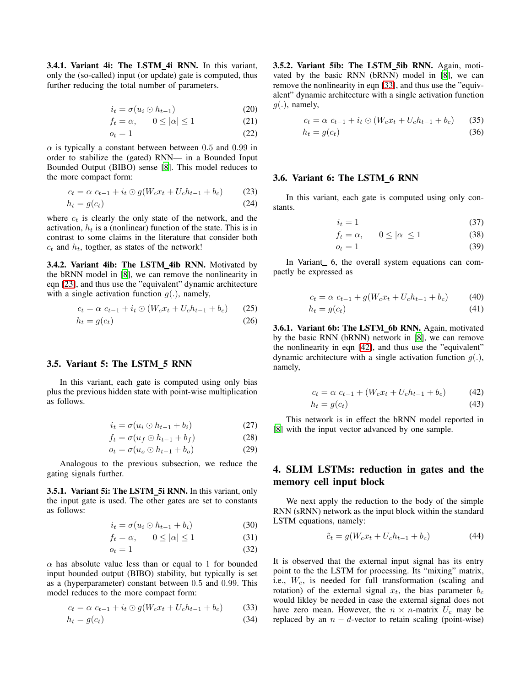3.4.1. Variant 4i: The LSTM 4i RNN. In this variant, only the (so-called) input (or update) gate is computed, thus further reducing the total number of parameters.

$$
i_t = \sigma(u_i \odot h_{t-1}) \tag{20}
$$

$$
f_t = \alpha, \qquad 0 \le |\alpha| \le 1 \tag{21}
$$

$$
o_t = 1\tag{22}
$$

 $\alpha$  is typically a constant between between 0.5 and 0.99 in order to stabilize the (gated) RNN— in a Bounded Input Bounded Output (BIBO) sense [\[8](#page-6-6)]. This model reduces to the more compact form:

$$
c_t = \alpha \ c_{t-1} + i_t \odot g(W_c x_t + U_c h_{t-1} + b_c)
$$
 (23)

$$
h_t = g(c_t) \tag{24}
$$

where  $c_t$  is clearly the only state of the network, and the activation,  $h_t$  is a (nonlinear) function of the state. This is in contrast to some claims in the literature that consider both  $c_t$  and  $h_t$ , togther, as states of the network!

3.4.2. Variant 4ib: The LSTM\_4ib RNN. Motivated by the bRNN model in [\[8](#page-6-6)], we can remove the nonlinearity in eqn [\[23\]](#page-3-0), and thus use the "equivalent" dynamic architecture with a single activation function  $g(.)$ , namely,

$$
c_t = \alpha \ c_{t-1} + i_t \odot (W_c x_t + U_c h_{t-1} + b_c) \tag{25}
$$

$$
h_t = g(c_t) \tag{26}
$$

## 3.5. Variant 5: The LSTM 5 RNN

In this variant, each gate is computed using only bias plus the previous hidden state with point-wise multiplication as follows.

$$
i_t = \sigma(u_i \odot h_{t-1} + b_i) \tag{27}
$$

$$
f_t = \sigma(u_f \odot h_{t-1} + b_f) \tag{28}
$$

$$
o_t = \sigma(u_o \odot h_{t-1} + b_o) \tag{29}
$$

Analogous to the previous subsection, we reduce the gating signals further.

3.5.1. Variant 5i: The LSTM\_5i RNN. In this variant, only the input gate is used. The other gates are set to constants as follows:

$$
i_t = \sigma(u_i \odot h_{t-1} + b_i) \tag{30}
$$

$$
f_t = \alpha, \qquad 0 \le |\alpha| \le 1 \tag{31}
$$

$$
o_t = 1 \tag{32}
$$

 $\alpha$  has absolute value less than or equal to 1 for bounded input bounded output (BIBO) stability, but typically is set as a (hyperparameter) constant between 0.5 and 0.99. This model reduces to the more compact form:

$$
c_t = \alpha \ c_{t-1} + i_t \odot g(W_c x_t + U_c h_{t-1} + b_c) \tag{33}
$$

$$
h_t = g(c_t) \tag{34}
$$

3.5.2. Variant 5ib: The LSTM 5ib RNN. Again, motivated by the basic RNN (bRNN) model in [\[8](#page-6-6)], we can remove the nonlinearity in eqn [\[33\]](#page-3-1), and thus use the "equivalent" dynamic architecture with a single activation function  $g(.)$ , namely,

$$
c_t = \alpha \ c_{t-1} + i_t \odot (W_c x_t + U_c h_{t-1} + b_c) \tag{35}
$$

$$
h_t = g(c_t) \tag{36}
$$

### <span id="page-3-0"></span>3.6. Variant 6: The LSTM 6 RNN

In this variant, each gate is computed using only constants.

$$
i_t = 1 \tag{37}
$$

$$
f_t = \alpha, \qquad 0 \le |\alpha| \le 1 \tag{38}
$$

$$
o_t = 1 \tag{39}
$$

In Variant 6, the overall system equations can compactly be expressed as

$$
c_t = \alpha \ c_{t-1} + g(W_c x_t + U_c h_{t-1} + b_c)
$$
 (40)

$$
h_t = g(c_t) \tag{41}
$$

3.6.1. Variant 6b: The LSTM\_6b RNN. Again, motivated by the basic RNN (bRNN) network in [\[8](#page-6-6)], we can remove the nonlinearity in eqn [\[42\]](#page-3-2), and thus use the "equivalent" dynamic architecture with a single activation function  $g(.)$ , namely,

<span id="page-3-2"></span>
$$
c_t = \alpha \ c_{t-1} + (W_c x_t + U_c h_{t-1} + b_c) \tag{42}
$$

$$
h_t = g(c_t) \tag{43}
$$

This network is in effect the bRNN model reported in [\[8](#page-6-6)] with the input vector advanced by one sample.

# 4. SLIM LSTMs: reduction in gates and the memory cell input block

We next apply the reduction to the body of the simple RNN (sRNN) network as the input block within the standard LSTM equations, namely:

<span id="page-3-3"></span>
$$
\tilde{c}_t = g(W_c x_t + U_c h_{t-1} + b_c)
$$
\n(44)

<span id="page-3-1"></span>It is observed that the external input signal has its entry point to the the LSTM for processing. Its "mixing" matrix, i.e.,  $W_c$ , is needed for full transformation (scaling and rotation) of the external signal  $x_t$ , the bias parameter  $b_c$ would likley be needed in case the external signal does not have zero mean. However, the  $n \times n$ -matrix  $U_c$  may be replaced by an  $n - d$ -vector to retain scaling (point-wise)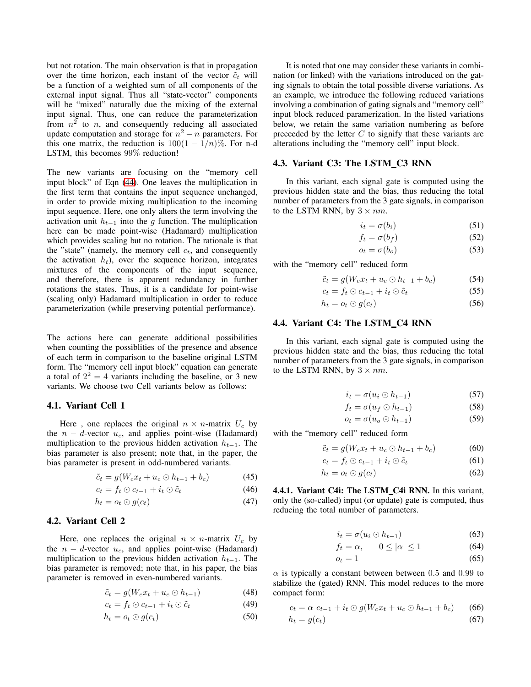but not rotation. The main observation is that in propagation over the time horizon, each instant of the vector  $\tilde{c}_t$  will be a function of a weighted sum of all components of the external input signal. Thus all "state-vector" components will be "mixed" naturally due the mixing of the external input signal. Thus, one can reduce the parameterization from  $n^2$  to n, and consequently reducing all associated update computation and storage for  $n^2 - n$  parameters. For this one matrix, the reduction is  $100(1 - \frac{1}{n})\%$ . For n-d LSTM, this becomes 99% reduction!

The new variants are focusing on the "memory cell input block" of Eqn [\(44\)](#page-3-3). One leaves the multiplication in the first term that contains the input sequence unchanged, in order to provide mixing multiplication to the incoming input sequence. Here, one only alters the term involving the activation unit  $h_{t-1}$  into the g function. The multiplication here can be made point-wise (Hadamard) multiplication which provides scaling but no rotation. The rationale is that the "state" (namely, the memory cell  $c_t$ , and consequently the activation  $h_t$ ), over the sequence horizon, integrates mixtures of the components of the input sequence, and therefore, there is apparent redundancy in further rotations the states. Thus, it is a candidate for point-wise (scaling only) Hadamard multiplication in order to reduce parameterization (while preserving potential performance).

The actions here can generate additional possibilities when counting the possiblities of the presence and absence of each term in comparison to the baseline original LSTM form. The "memory cell input block" equation can generate a total of  $2^2 = 4$  variants including the baseline, or 3 new variants. We choose two Cell variants below as follows:

### 4.1. Variant Cell 1

Here, one replaces the original  $n \times n$ -matrix  $U_c$  by the  $n - d$ -vector  $u_c$ , and applies point-wise (Hadamard) multiplication to the previous hidden activation  $h_{t-1}$ . The bias parameter is also present; note that, in the paper, the bias parameter is present in odd-numbered variants.

$$
\tilde{c}_t = g(W_c x_t + u_c \odot h_{t-1} + b_c) \tag{45}
$$

$$
c_t = f_t \odot c_{t-1} + i_t \odot \tilde{c}_t \tag{46}
$$

$$
h_t = o_t \odot g(c_t) \tag{47}
$$

### 4.2. Variant Cell 2

Here, one replaces the original  $n \times n$ -matrix  $U_c$  by the  $n - d$ -vector  $u_c$ , and applies point-wise (Hadamard) multiplication to the previous hidden activation  $h_{t-1}$ . The bias parameter is removed; note that, in his paper, the bias parameter is removed in even-numbered variants.

$$
\tilde{c}_t = g(W_c x_t + u_c \odot h_{t-1}) \tag{48}
$$

$$
c_t = f_t \odot c_{t-1} + i_t \odot \tilde{c}_t \tag{49}
$$

$$
h_t = o_t \odot g(c_t) \tag{50}
$$

It is noted that one may consider these variants in combination (or linked) with the variations introduced on the gating signals to obtain the total possible diverse variations. As an example, we introduce the following reduced variations involving a combination of gating signals and "memory cell" input block reduced paramerization. In the listed variations below, we retain the same variation numbering as before preceeded by the letter  $C$  to signify that these variants are alterations including the "memory cell" input block.

## 4.3. Variant C3: The LSTM C3 RNN

In this variant, each signal gate is computed using the previous hidden state and the bias, thus reducing the total number of parameters from the 3 gate signals, in comparison to the LSTM RNN, by  $3 \times nm$ .

$$
i_t = \sigma(b_i) \tag{51}
$$

$$
f_t = \sigma(b_f) \tag{52}
$$

$$
o_t = \sigma(b_o) \tag{53}
$$

with the "memory cell" reduced form

$$
\tilde{c}_t = g(W_c x_t + u_c \odot h_{t-1} + b_c) \tag{54}
$$

$$
c_t = f_t \odot c_{t-1} + i_t \odot \tilde{c}_t \tag{55}
$$

$$
h_t = o_t \odot g(c_t) \tag{56}
$$

### 4.4. Variant C4: The LSTM\_C4 RNN

In this variant, each signal gate is computed using the previous hidden state and the bias, thus reducing the total number of parameters from the 3 gate signals, in comparison to the LSTM RNN, by  $3 \times nm$ .

$$
i_t = \sigma(u_i \odot h_{t-1}) \tag{57}
$$

$$
f_t = \sigma(u_f \odot h_{t-1}) \tag{58}
$$

$$
o_t = \sigma(u_o \odot h_{t-1}) \tag{59}
$$

with the "memory cell" reduced form

$$
\tilde{c}_t = g(W_c x_t + u_c \odot h_{t-1} + b_c) \tag{60}
$$

$$
c_t = f_t \odot c_{t-1} + i_t \odot \tilde{c}_t \tag{61}
$$

$$
h_t = o_t \odot g(c_t) \tag{62}
$$

4.4.1. Variant C4i: The LSTM\_C4i RNN. In this variant, only the (so-called) input (or update) gate is computed, thus reducing the total number of parameters.

$$
i_t = \sigma(u_i \odot h_{t-1}) \tag{63}
$$

$$
f_t = \alpha, \qquad 0 \le |\alpha| \le 1 \tag{64}
$$

$$
o_t = 1 \tag{65}
$$

 $\alpha$  is typically a constant between between 0.5 and 0.99 to stabilize the (gated) RNN. This model reduces to the more compact form:

$$
c_t = \alpha \ c_{t-1} + i_t \odot g(W_c x_t + u_c \odot h_{t-1} + b_c) \tag{66}
$$

$$
h_t = g(c_t) \tag{67}
$$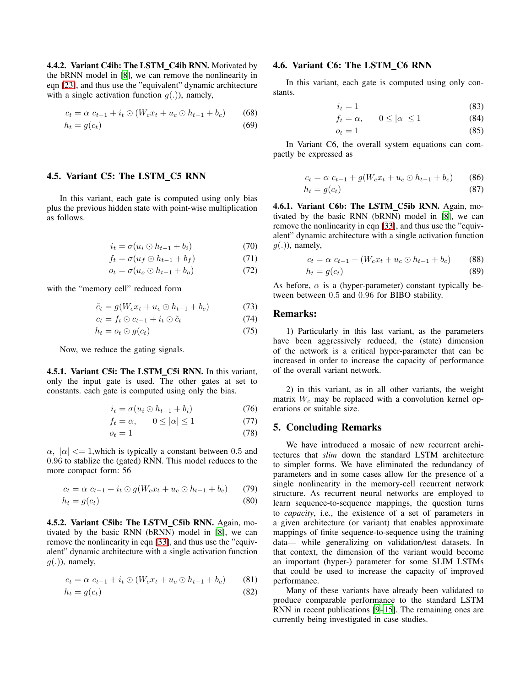4.4.2. Variant C4ib: The LSTM\_C4ib RNN. Motivated by the bRNN model in [\[8](#page-6-6)], we can remove the nonlinearity in eqn [\[23\]](#page-3-0), and thus use the "equivalent" dynamic architecture with a single activation function  $g(.)$ , namely,

$$
c_t = \alpha \ c_{t-1} + i_t \odot (W_c x_t + u_c \odot h_{t-1} + b_c)
$$
 (68)

$$
h_t = g(c_t) \tag{69}
$$

## 4.5. Variant C5: The LSTM\_C5 RNN

In this variant, each gate is computed using only bias plus the previous hidden state with point-wise multiplication as follows.

$$
i_t = \sigma(u_i \odot h_{t-1} + b_i) \tag{70}
$$

$$
f_t = \sigma(u_f \odot h_{t-1} + b_f) \tag{71}
$$

$$
o_t = \sigma(u_o \odot h_{t-1} + b_o) \tag{72}
$$

with the "memory cell" reduced form

$$
\tilde{c}_t = g(W_c x_t + u_c \odot h_{t-1} + b_c) \tag{73}
$$

$$
c_t = f_t \odot c_{t-1} + i_t \odot \tilde{c}_t \tag{74}
$$

$$
h_t = o_t \odot g(c_t) \tag{75}
$$

Now, we reduce the gating signals.

4.5.1. Variant C5i: The LSTM\_C5i RNN. In this variant, only the input gate is used. The other gates at set to constants. each gate is computed using only the bias.

$$
i_t = \sigma(u_i \odot h_{t-1} + b_i) \tag{76}
$$

$$
f_t = \alpha, \qquad 0 \le |\alpha| \le 1 \tag{77}
$$

$$
o_t = 1\tag{78}
$$

 $\alpha$ ,  $|\alpha| \leq 1$ , which is typically a constant between 0.5 and 0.96 to stablize the (gated) RNN. This model reduces to the more compact form: 56

$$
c_t = \alpha \ c_{t-1} + i_t \odot g(W_c x_t + u_c \odot h_{t-1} + b_c)
$$
 (79)

$$
h_t = g(c_t) \tag{80}
$$

4.5.2. Variant C5ib: The LSTM\_C5ib RNN. Again, motivated by the basic RNN (bRNN) model in [\[8](#page-6-6)], we can remove the nonlinearity in eqn [\[33\]](#page-3-1), and thus use the "equivalent" dynamic architecture with a single activation function  $g(.)$ , namely,

$$
c_t = \alpha \ c_{t-1} + i_t \odot (W_c x_t + u_c \odot h_{t-1} + b_c)
$$
 (81)

$$
h_t = g(c_t) \tag{82}
$$

### 4.6. Variant C6: The LSTM C6 RNN

In this variant, each gate is computed using only constants.

$$
i_t = 1 \tag{83}
$$

$$
f_t = \alpha, \qquad 0 \le |\alpha| \le 1 \tag{84}
$$

$$
o_t = 1 \tag{85}
$$

In Variant C6, the overall system equations can compactly be expressed as

$$
c_t = \alpha \ c_{t-1} + g(W_c x_t + u_c \odot h_{t-1} + b_c)
$$
 (86)

$$
h_t = g(c_t) \tag{87}
$$

4.6.1. Variant C6b: The LSTM\_C5ib RNN. Again, motivated by the basic RNN (bRNN) model in [\[8](#page-6-6)], we can remove the nonlinearity in eqn [\[33\]](#page-3-1), and thus use the "equivalent" dynamic architecture with a single activation function  $q(.)$ , namely,

$$
c_t = \alpha \ c_{t-1} + (W_c x_t + u_c \odot h_{t-1} + b_c) \tag{88}
$$

$$
h_t = g(c_t) \tag{89}
$$

As before,  $\alpha$  is a (hyper-parameter) constant typically between between 0.5 and 0.96 for BIBO stability.

# Remarks:

1) Particularly in this last variant, as the parameters have been aggressively reduced, the (state) dimension of the network is a critical hyper-parameter that can be increased in order to increase the capacity of performance of the overall variant network.

2) in this variant, as in all other variants, the weight matrix  $W_c$  may be replaced with a convolution kernel operations or suitable size.

## 5. Concluding Remarks

We have introduced a mosaic of new recurrent architectures that *slim* down the standard LSTM architecture to simpler forms. We have eliminated the redundancy of parameters and in some cases allow for the presence of a single nonlinearity in the memory-cell recurrent network structure. As recurrent neural networks are employed to learn sequence-to-sequence mappings, the question turns to *capacity*, i.e., the existence of a set of parameters in a given architecture (or variant) that enables approximate mappings of finite sequence-to-sequence using the training data— while generalizing on validation/test datasets. In that context, the dimension of the variant would become an important (hyper-) parameter for some SLIM LSTMs that could be used to increase the capacity of improved performance.

Many of these variants have already been validated to produce comparable performance to the standard LSTM RNN in recent publications [\[9](#page-6-7)[–15](#page-6-9)]. The remaining ones are currently being investigated in case studies.